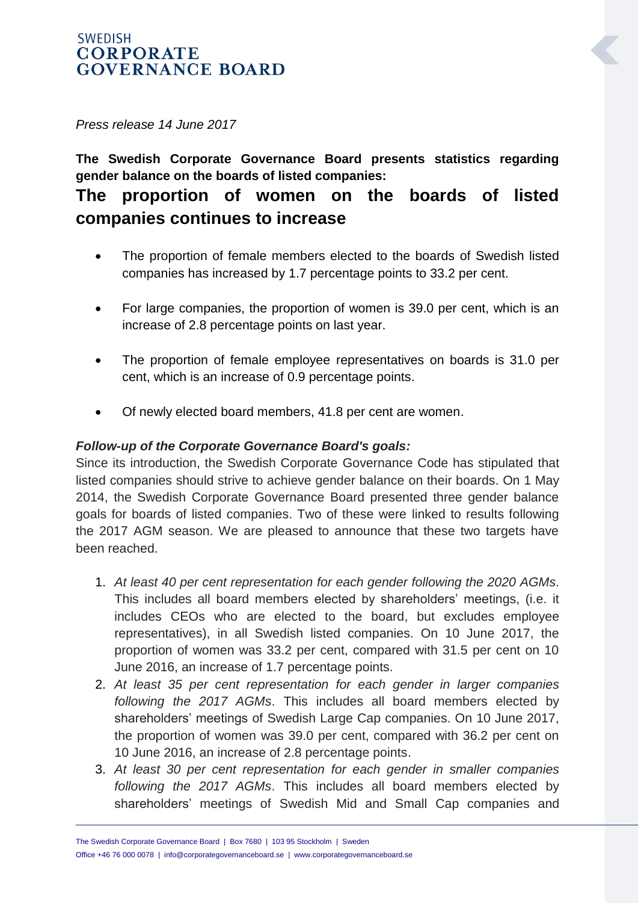## **SWEDISH CORPORATE GOVERNANCE BOARD**

*Press release 14 June 2017*

**The Swedish Corporate Governance Board presents statistics regarding gender balance on the boards of listed companies:** 

# **The proportion of women on the boards of listed companies continues to increase**

- The proportion of female members elected to the boards of Swedish listed companies has increased by 1.7 percentage points to 33.2 per cent.
- For large companies, the proportion of women is 39.0 per cent, which is an increase of 2.8 percentage points on last year.
- The proportion of female employee representatives on boards is 31.0 per cent, which is an increase of 0.9 percentage points.
- Of newly elected board members, 41.8 per cent are women.

## *Follow-up of the Corporate Governance Board's goals:*

Since its introduction, the Swedish Corporate Governance Code has stipulated that listed companies should strive to achieve gender balance on their boards. On 1 May 2014, the Swedish Corporate Governance Board presented three gender balance goals for boards of listed companies. Two of these were linked to results following the 2017 AGM season. We are pleased to announce that these two targets have been reached.

- 1. *At least 40 per cent representation for each gender following the 2020 AGMs*. This includes all board members elected by shareholders' meetings, (i.e. it includes CEOs who are elected to the board, but excludes employee representatives), in all Swedish listed companies. On 10 June 2017, the proportion of women was 33.2 per cent, compared with 31.5 per cent on 10 June 2016, an increase of 1.7 percentage points.
- 2. *At least 35 per cent representation for each gender in larger companies following the 2017 AGMs*. This includes all board members elected by shareholders' meetings of Swedish Large Cap companies. On 10 June 2017, the proportion of women was 39.0 per cent, compared with 36.2 per cent on 10 June 2016, an increase of 2.8 percentage points.
- 3. *At least 30 per cent representation for each gender in smaller companies following the 2017 AGMs*. This includes all board members elected by shareholders' meetings of Swedish Mid and Small Cap companies and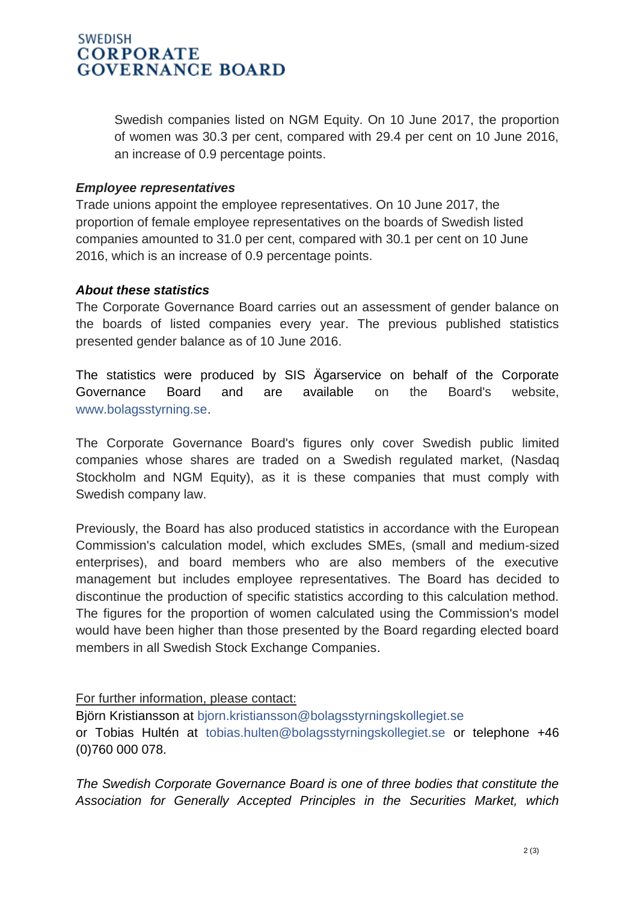## **SWEDISH CORPORATE GOVERNANCE BOARD**

Swedish companies listed on NGM Equity. On 10 June 2017, the proportion of women was 30.3 per cent, compared with 29.4 per cent on 10 June 2016, an increase of 0.9 percentage points.

#### *Employee representatives*

Trade unions appoint the employee representatives. On 10 June 2017, the proportion of female employee representatives on the boards of Swedish listed companies amounted to 31.0 per cent, compared with 30.1 per cent on 10 June 2016, which is an increase of 0.9 percentage points.

#### *About these statistics*

The Corporate Governance Board carries out an assessment of gender balance on the boards of listed companies every year. The previous published statistics presented gender balance as of 10 June 2016.

The statistics were produced by SIS Ägarservice on behalf of the Corporate Governance Board and are available on the Board's website, [www.bolagsstyrning.se.](http://www.bolagsstyrning.se/)

The Corporate Governance Board's figures only cover Swedish public limited companies whose shares are traded on a Swedish regulated market, (Nasdaq Stockholm and NGM Equity), as it is these companies that must comply with Swedish company law.

Previously, the Board has also produced statistics in accordance with the European Commission's calculation model, which excludes SMEs, (small and medium-sized enterprises), and board members who are also members of the executive management but includes employee representatives. The Board has decided to discontinue the production of specific statistics according to this calculation method. The figures for the proportion of women calculated using the Commission's model would have been higher than those presented by the Board regarding elected board members in all Swedish Stock Exchange Companies.

### For further information, please contact:

Björn Kristiansson at [bjorn.kristiansson@bolagsstyrningskollegiet.se](mailto:bjorn.kristiansson@bolagsstyrningskollegiet.se) or Tobias Hultén at [tobias.hulten@bolagsstyrningskollegiet.se](mailto:tobias.hulten@bolagsstyrningskollegiet.se) or telephone +46 (0)760 000 078.

*The Swedish Corporate Governance Board is one of three bodies that constitute the Association for Generally Accepted Principles in the Securities Market, which*